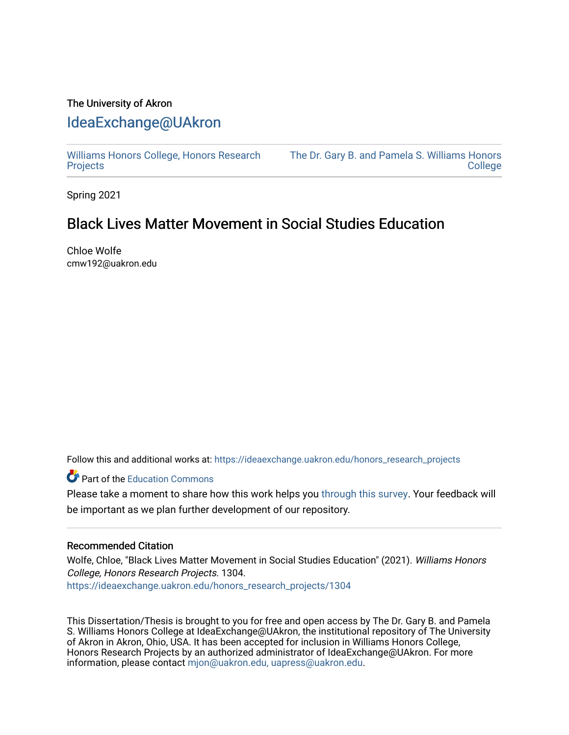## The University of Akron [IdeaExchange@UAkron](https://ideaexchange.uakron.edu/)

[Williams Honors College, Honors Research](https://ideaexchange.uakron.edu/honors_research_projects)  **[Projects](https://ideaexchange.uakron.edu/honors_research_projects)** 

[The Dr. Gary B. and Pamela S. Williams Honors](https://ideaexchange.uakron.edu/honorscollege_ideas)  [College](https://ideaexchange.uakron.edu/honorscollege_ideas) 

Spring 2021

# Black Lives Matter Movement in Social Studies Education

Chloe Wolfe cmw192@uakron.edu

Follow this and additional works at: [https://ideaexchange.uakron.edu/honors\\_research\\_projects](https://ideaexchange.uakron.edu/honors_research_projects?utm_source=ideaexchange.uakron.edu%2Fhonors_research_projects%2F1304&utm_medium=PDF&utm_campaign=PDFCoverPages) 

**Part of the [Education Commons](http://network.bepress.com/hgg/discipline/784?utm_source=ideaexchange.uakron.edu%2Fhonors_research_projects%2F1304&utm_medium=PDF&utm_campaign=PDFCoverPages)** 

Please take a moment to share how this work helps you [through this survey](http://survey.az1.qualtrics.com/SE/?SID=SV_eEVH54oiCbOw05f&URL=https://ideaexchange.uakron.edu/honors_research_projects/1304). Your feedback will be important as we plan further development of our repository.

## Recommended Citation

Wolfe, Chloe, "Black Lives Matter Movement in Social Studies Education" (2021). Williams Honors College, Honors Research Projects. 1304. [https://ideaexchange.uakron.edu/honors\\_research\\_projects/1304](https://ideaexchange.uakron.edu/honors_research_projects/1304?utm_source=ideaexchange.uakron.edu%2Fhonors_research_projects%2F1304&utm_medium=PDF&utm_campaign=PDFCoverPages) 

This Dissertation/Thesis is brought to you for free and open access by The Dr. Gary B. and Pamela S. Williams Honors College at IdeaExchange@UAkron, the institutional repository of The University of Akron in Akron, Ohio, USA. It has been accepted for inclusion in Williams Honors College, Honors Research Projects by an authorized administrator of IdeaExchange@UAkron. For more information, please contact [mjon@uakron.edu, uapress@uakron.edu.](mailto:mjon@uakron.edu,%20uapress@uakron.edu)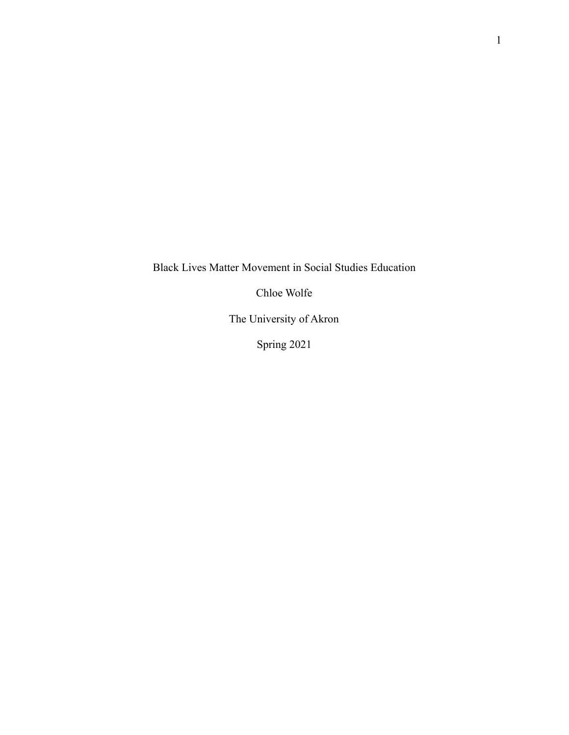Black Lives Matter Movement in Social Studies Education

Chloe Wolfe

The University of Akron

Spring 2021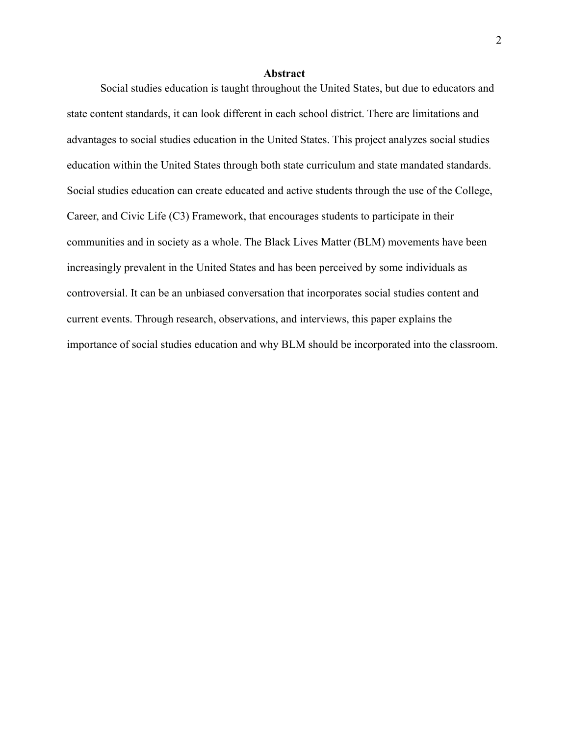#### **Abstract**

Social studies education is taught throughout the United States, but due to educators and state content standards, it can look different in each school district. There are limitations and advantages to social studies education in the United States. This project analyzes social studies education within the United States through both state curriculum and state mandated standards. Social studies education can create educated and active students through the use of the College, Career, and Civic Life (C3) Framework, that encourages students to participate in their communities and in society as a whole. The Black Lives Matter (BLM) movements have been increasingly prevalent in the United States and has been perceived by some individuals as controversial. It can be an unbiased conversation that incorporates social studies content and current events. Through research, observations, and interviews, this paper explains the importance of social studies education and why BLM should be incorporated into the classroom.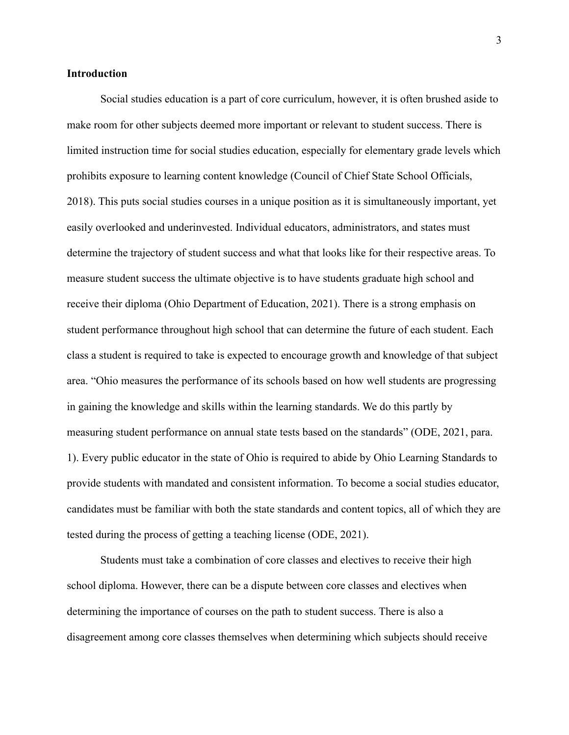## **Introduction**

Social studies education is a part of core curriculum, however, it is often brushed aside to make room for other subjects deemed more important or relevant to student success. There is limited instruction time for social studies education, especially for elementary grade levels which prohibits exposure to learning content knowledge (Council of Chief State School Officials, 2018). This puts social studies courses in a unique position as it is simultaneously important, yet easily overlooked and underinvested. Individual educators, administrators, and states must determine the trajectory of student success and what that looks like for their respective areas. To measure student success the ultimate objective is to have students graduate high school and receive their diploma (Ohio Department of Education, 2021). There is a strong emphasis on student performance throughout high school that can determine the future of each student. Each class a student is required to take is expected to encourage growth and knowledge of that subject area. "Ohio measures the performance of its schools based on how well students are progressing in gaining the knowledge and skills within the learning standards. We do this partly by measuring student performance on annual state tests based on the standards" (ODE, 2021, para. 1). Every public educator in the state of Ohio is required to abide by Ohio Learning Standards to provide students with mandated and consistent information. To become a social studies educator, candidates must be familiar with both the state standards and content topics, all of which they are tested during the process of getting a teaching license (ODE, 2021).

Students must take a combination of core classes and electives to receive their high school diploma. However, there can be a dispute between core classes and electives when determining the importance of courses on the path to student success. There is also a disagreement among core classes themselves when determining which subjects should receive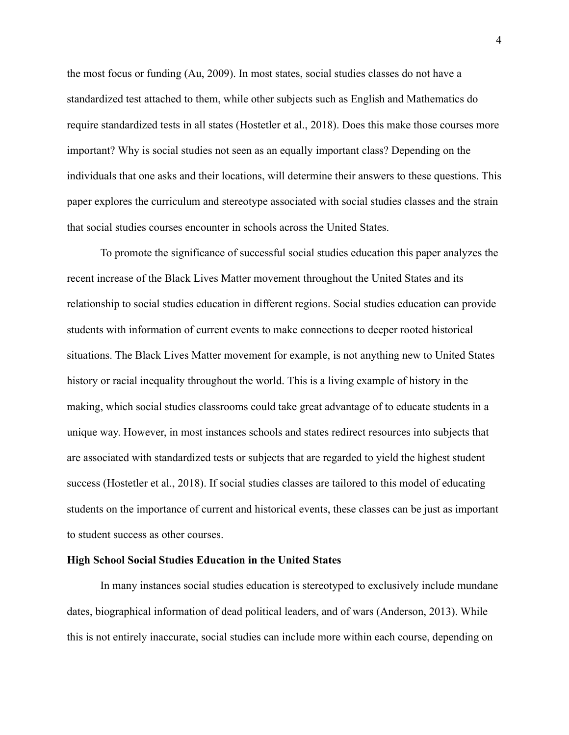the most focus or funding (Au, 2009). In most states, social studies classes do not have a standardized test attached to them, while other subjects such as English and Mathematics do require standardized tests in all states (Hostetler et al., 2018). Does this make those courses more important? Why is social studies not seen as an equally important class? Depending on the individuals that one asks and their locations, will determine their answers to these questions. This paper explores the curriculum and stereotype associated with social studies classes and the strain that social studies courses encounter in schools across the United States.

To promote the significance of successful social studies education this paper analyzes the recent increase of the Black Lives Matter movement throughout the United States and its relationship to social studies education in different regions. Social studies education can provide students with information of current events to make connections to deeper rooted historical situations. The Black Lives Matter movement for example, is not anything new to United States history or racial inequality throughout the world. This is a living example of history in the making, which social studies classrooms could take great advantage of to educate students in a unique way. However, in most instances schools and states redirect resources into subjects that are associated with standardized tests or subjects that are regarded to yield the highest student success (Hostetler et al., 2018). If social studies classes are tailored to this model of educating students on the importance of current and historical events, these classes can be just as important to student success as other courses.

#### **High School Social Studies Education in the United States**

In many instances social studies education is stereotyped to exclusively include mundane dates, biographical information of dead political leaders, and of wars (Anderson, 2013). While this is not entirely inaccurate, social studies can include more within each course, depending on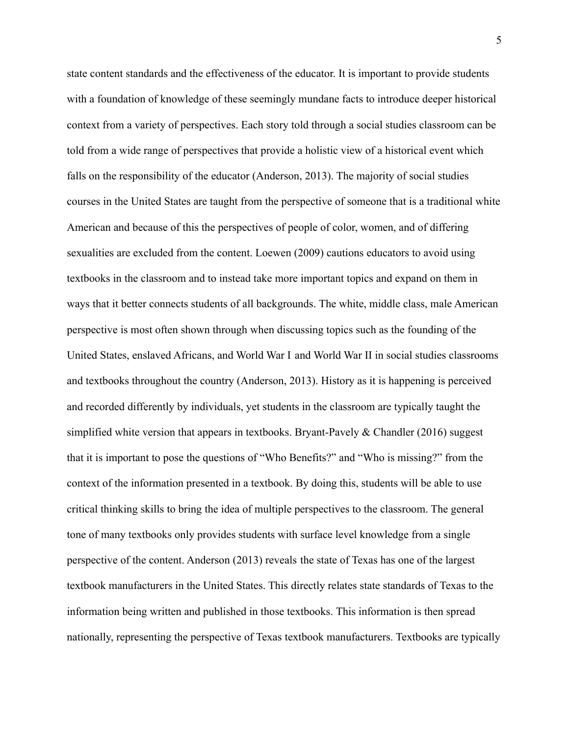state content standards and the effectiveness of the educator. It is important to provide students with a foundation of knowledge of these seemingly mundane facts to introduce deeper historical context from a variety of perspectives. Each story told through a social studies classroom can be told from a wide range of perspectives that provide a holistic view of a historical event which falls on the responsibility of the educator (Anderson, 2013). The majority of social studies courses in the United States are taught from the perspective of someone that is a traditional white American and because of this the perspectives of people of color, women, and of differing sexualities are excluded from the content. Loewen (2009) cautions educators to avoid using textbooks in the classroom and to instead take more important topics and expand on them in ways that it better connects students of all backgrounds. The white, middle class, male American perspective is most often shown through when discussing topics such as the founding of the United States, enslaved Africans, and World War I and World War II in social studies classrooms and textbooks throughout the country (Anderson, 2013). History as it is happening is perceived and recorded differently by individuals, yet students in the classroom are typically taught the simplified white version that appears in textbooks. Bryant-Pavely & Chandler (2016) suggest that it is important to pose the questions of "Who Benefits?" and "Who is missing?" from the context of the information presented in a textbook. By doing this, students will be able to use critical thinking skills to bring the idea of multiple perspectives to the classroom. The general tone of many textbooks only provides students with surface level knowledge from a single perspective of the content. Anderson (2013) reveals the state of Texas has one of the largest textbook manufacturers in the United States. This directly relates state standards of Texas to the information being written and published in those textbooks. This information is then spread nationally, representing the perspective of Texas textbook manufacturers. Textbooks are typically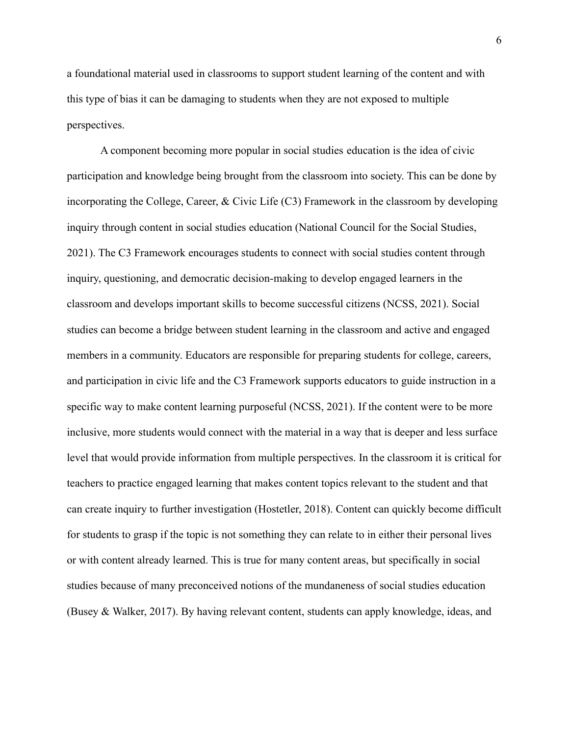a foundational material used in classrooms to support student learning of the content and with this type of bias it can be damaging to students when they are not exposed to multiple perspectives.

A component becoming more popular in social studies education is the idea of civic participation and knowledge being brought from the classroom into society. This can be done by incorporating the College, Career, & Civic Life (C3) Framework in the classroom by developing inquiry through content in social studies education (National Council for the Social Studies, 2021). The C3 Framework encourages students to connect with social studies content through inquiry, questioning, and democratic decision-making to develop engaged learners in the classroom and develops important skills to become successful citizens (NCSS, 2021). Social studies can become a bridge between student learning in the classroom and active and engaged members in a community. Educators are responsible for preparing students for college, careers, and participation in civic life and the C3 Framework supports educators to guide instruction in a specific way to make content learning purposeful (NCSS, 2021). If the content were to be more inclusive, more students would connect with the material in a way that is deeper and less surface level that would provide information from multiple perspectives. In the classroom it is critical for teachers to practice engaged learning that makes content topics relevant to the student and that can create inquiry to further investigation (Hostetler, 2018). Content can quickly become difficult for students to grasp if the topic is not something they can relate to in either their personal lives or with content already learned. This is true for many content areas, but specifically in social studies because of many preconceived notions of the mundaneness of social studies education (Busey & Walker, 2017). By having relevant content, students can apply knowledge, ideas, and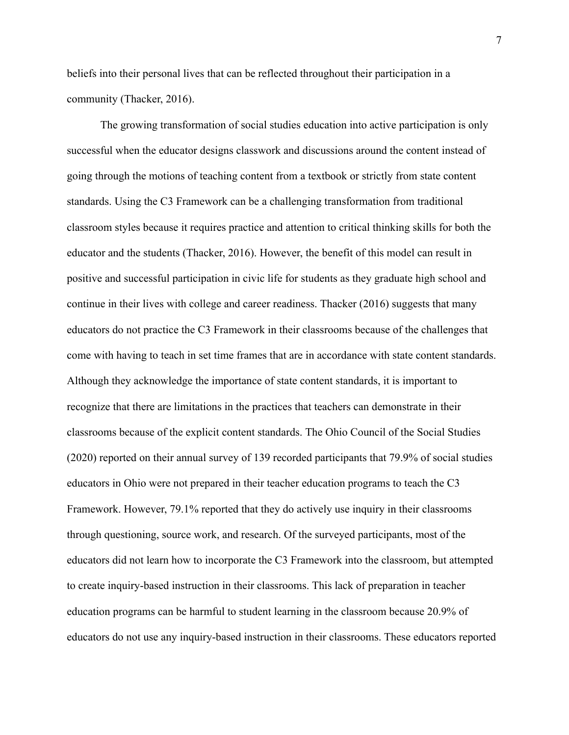beliefs into their personal lives that can be reflected throughout their participation in a community (Thacker, 2016).

The growing transformation of social studies education into active participation is only successful when the educator designs classwork and discussions around the content instead of going through the motions of teaching content from a textbook or strictly from state content standards. Using the C3 Framework can be a challenging transformation from traditional classroom styles because it requires practice and attention to critical thinking skills for both the educator and the students (Thacker, 2016). However, the benefit of this model can result in positive and successful participation in civic life for students as they graduate high school and continue in their lives with college and career readiness. Thacker (2016) suggests that many educators do not practice the C3 Framework in their classrooms because of the challenges that come with having to teach in set time frames that are in accordance with state content standards. Although they acknowledge the importance of state content standards, it is important to recognize that there are limitations in the practices that teachers can demonstrate in their classrooms because of the explicit content standards. The Ohio Council of the Social Studies (2020) reported on their annual survey of 139 recorded participants that 79.9% of social studies educators in Ohio were not prepared in their teacher education programs to teach the C3 Framework. However, 79.1% reported that they do actively use inquiry in their classrooms through questioning, source work, and research. Of the surveyed participants, most of the educators did not learn how to incorporate the C3 Framework into the classroom, but attempted to create inquiry-based instruction in their classrooms. This lack of preparation in teacher education programs can be harmful to student learning in the classroom because 20.9% of educators do not use any inquiry-based instruction in their classrooms. These educators reported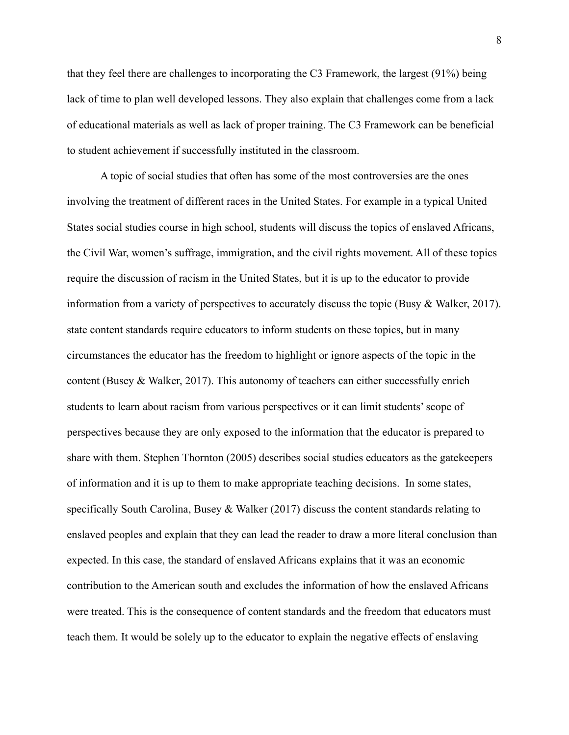that they feel there are challenges to incorporating the C3 Framework, the largest (91%) being lack of time to plan well developed lessons. They also explain that challenges come from a lack of educational materials as well as lack of proper training. The C3 Framework can be beneficial to student achievement if successfully instituted in the classroom.

A topic of social studies that often has some of the most controversies are the ones involving the treatment of different races in the United States. For example in a typical United States social studies course in high school, students will discuss the topics of enslaved Africans, the Civil War, women's suffrage, immigration, and the civil rights movement. All of these topics require the discussion of racism in the United States, but it is up to the educator to provide information from a variety of perspectives to accurately discuss the topic (Busy & Walker, 2017). state content standards require educators to inform students on these topics, but in many circumstances the educator has the freedom to highlight or ignore aspects of the topic in the content (Busey  $\&$  Walker, 2017). This autonomy of teachers can either successfully enrich students to learn about racism from various perspectives or it can limit students' scope of perspectives because they are only exposed to the information that the educator is prepared to share with them. Stephen Thornton (2005) describes social studies educators as the gatekeepers of information and it is up to them to make appropriate teaching decisions. In some states, specifically South Carolina, Busey & Walker (2017) discuss the content standards relating to enslaved peoples and explain that they can lead the reader to draw a more literal conclusion than expected. In this case, the standard of enslaved Africans explains that it was an economic contribution to the American south and excludes the information of how the enslaved Africans were treated. This is the consequence of content standards and the freedom that educators must teach them. It would be solely up to the educator to explain the negative effects of enslaving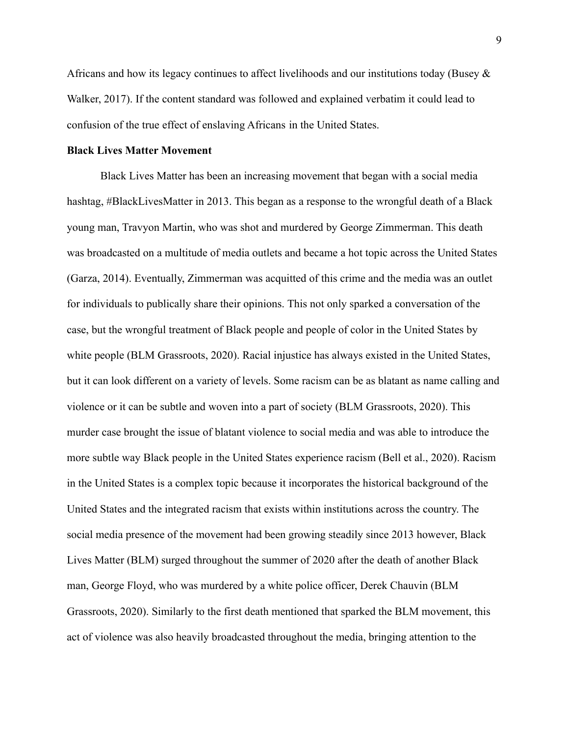Africans and how its legacy continues to affect livelihoods and our institutions today (Busey  $\&$ Walker, 2017). If the content standard was followed and explained verbatim it could lead to confusion of the true effect of enslaving Africans in the United States.

## **Black Lives Matter Movement**

Black Lives Matter has been an increasing movement that began with a social media hashtag, #BlackLivesMatter in 2013. This began as a response to the wrongful death of a Black young man, Travyon Martin, who was shot and murdered by George Zimmerman. This death was broadcasted on a multitude of media outlets and became a hot topic across the United States (Garza, 2014). Eventually, Zimmerman was acquitted of this crime and the media was an outlet for individuals to publically share their opinions. This not only sparked a conversation of the case, but the wrongful treatment of Black people and people of color in the United States by white people (BLM Grassroots, 2020). Racial injustice has always existed in the United States, but it can look different on a variety of levels. Some racism can be as blatant as name calling and violence or it can be subtle and woven into a part of society (BLM Grassroots, 2020). This murder case brought the issue of blatant violence to social media and was able to introduce the more subtle way Black people in the United States experience racism (Bell et al., 2020). Racism in the United States is a complex topic because it incorporates the historical background of the United States and the integrated racism that exists within institutions across the country. The social media presence of the movement had been growing steadily since 2013 however, Black Lives Matter (BLM) surged throughout the summer of 2020 after the death of another Black man, George Floyd, who was murdered by a white police officer, Derek Chauvin (BLM Grassroots, 2020). Similarly to the first death mentioned that sparked the BLM movement, this act of violence was also heavily broadcasted throughout the media, bringing attention to the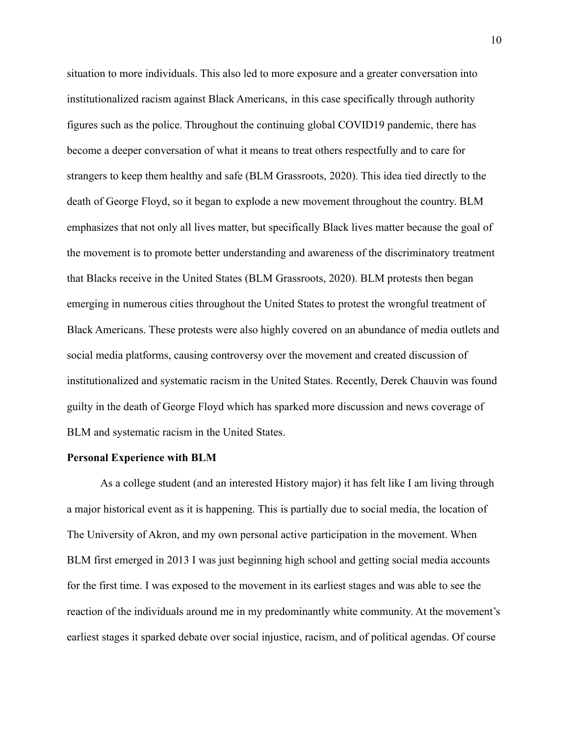situation to more individuals. This also led to more exposure and a greater conversation into institutionalized racism against Black Americans, in this case specifically through authority figures such as the police. Throughout the continuing global COVID19 pandemic, there has become a deeper conversation of what it means to treat others respectfully and to care for strangers to keep them healthy and safe (BLM Grassroots, 2020). This idea tied directly to the death of George Floyd, so it began to explode a new movement throughout the country. BLM emphasizes that not only all lives matter, but specifically Black lives matter because the goal of the movement is to promote better understanding and awareness of the discriminatory treatment that Blacks receive in the United States (BLM Grassroots, 2020). BLM protests then began emerging in numerous cities throughout the United States to protest the wrongful treatment of Black Americans. These protests were also highly covered on an abundance of media outlets and social media platforms, causing controversy over the movement and created discussion of institutionalized and systematic racism in the United States. Recently, Derek Chauvin was found guilty in the death of George Floyd which has sparked more discussion and news coverage of BLM and systematic racism in the United States.

### **Personal Experience with BLM**

As a college student (and an interested History major) it has felt like I am living through a major historical event as it is happening. This is partially due to social media, the location of The University of Akron, and my own personal active participation in the movement. When BLM first emerged in 2013 I was just beginning high school and getting social media accounts for the first time. I was exposed to the movement in its earliest stages and was able to see the reaction of the individuals around me in my predominantly white community. At the movement's earliest stages it sparked debate over social injustice, racism, and of political agendas. Of course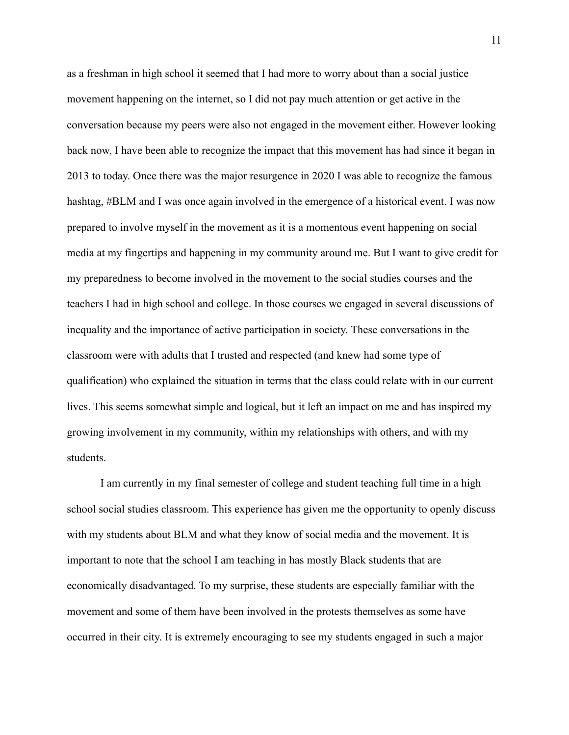as a freshman in high school it seemed that I had more to worry about than a social justice movement happening on the internet, so I did not pay much attention or get active in the conversation because my peers were also not engaged in the movement either. However looking back now, I have been able to recognize the impact that this movement has had since it began in 2013 to today. Once there was the major resurgence in 2020 I was able to recognize the famous hashtag, #BLM and I was once again involved in the emergence of a historical event. I was now prepared to involve myself in the movement as it is a momentous event happening on social media at my fingertips and happening in my community around me. But I want to give credit for my preparedness to become involved in the movement to the social studies courses and the teachers I had in high school and college. In those courses we engaged in several discussions of inequality and the importance of active participation in society. These conversations in the classroom were with adults that I trusted and respected (and knew had some type of qualification) who explained the situation in terms that the class could relate with in our current lives. This seems somewhat simple and logical, but it left an impact on me and has inspired my growing involvement in my community, within my relationships with others, and with my students.

I am currently in my final semester of college and student teaching full time in a high school social studies classroom. This experience has given me the opportunity to openly discuss with my students about BLM and what they know of social media and the movement. It is important to note that the school I am teaching in has mostly Black students that are economically disadvantaged. To my surprise, these students are especially familiar with the movement and some of them have been involved in the protests themselves as some have occurred in their city. It is extremely encouraging to see my students engaged in such a major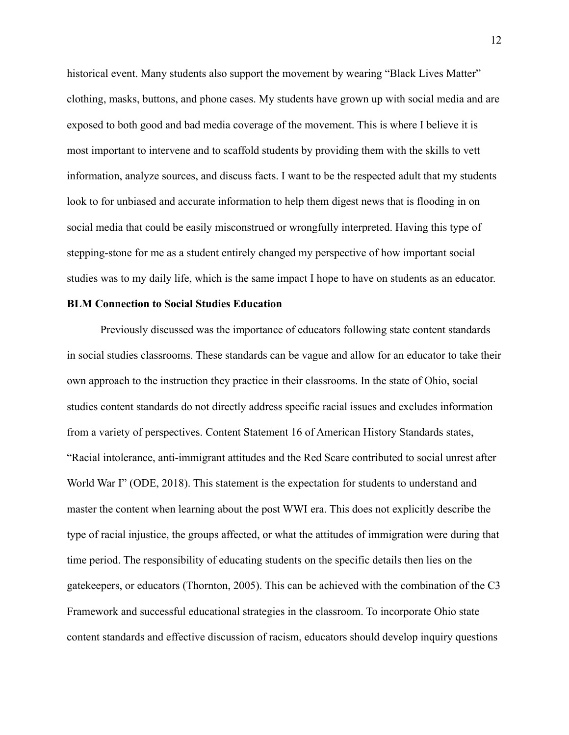historical event. Many students also support the movement by wearing "Black Lives Matter" clothing, masks, buttons, and phone cases. My students have grown up with social media and are exposed to both good and bad media coverage of the movement. This is where I believe it is most important to intervene and to scaffold students by providing them with the skills to vett information, analyze sources, and discuss facts. I want to be the respected adult that my students look to for unbiased and accurate information to help them digest news that is flooding in on social media that could be easily misconstrued or wrongfully interpreted. Having this type of stepping-stone for me as a student entirely changed my perspective of how important social studies was to my daily life, which is the same impact I hope to have on students as an educator.

## **BLM Connection to Social Studies Education**

Previously discussed was the importance of educators following state content standards in social studies classrooms. These standards can be vague and allow for an educator to take their own approach to the instruction they practice in their classrooms. In the state of Ohio, social studies content standards do not directly address specific racial issues and excludes information from a variety of perspectives. Content Statement 16 of American History Standards states, "Racial intolerance, anti-immigrant attitudes and the Red Scare contributed to social unrest after World War I" (ODE, 2018). This statement is the expectation for students to understand and master the content when learning about the post WWI era. This does not explicitly describe the type of racial injustice, the groups affected, or what the attitudes of immigration were during that time period. The responsibility of educating students on the specific details then lies on the gatekeepers, or educators (Thornton, 2005). This can be achieved with the combination of the C3 Framework and successful educational strategies in the classroom. To incorporate Ohio state content standards and effective discussion of racism, educators should develop inquiry questions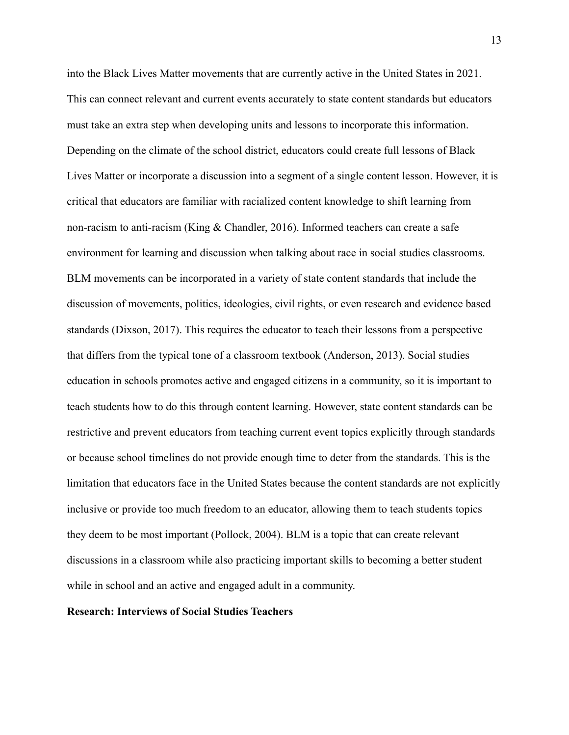into the Black Lives Matter movements that are currently active in the United States in 2021. This can connect relevant and current events accurately to state content standards but educators must take an extra step when developing units and lessons to incorporate this information. Depending on the climate of the school district, educators could create full lessons of Black Lives Matter or incorporate a discussion into a segment of a single content lesson. However, it is critical that educators are familiar with racialized content knowledge to shift learning from non-racism to anti-racism (King & Chandler, 2016). Informed teachers can create a safe environment for learning and discussion when talking about race in social studies classrooms. BLM movements can be incorporated in a variety of state content standards that include the discussion of movements, politics, ideologies, civil rights, or even research and evidence based standards (Dixson, 2017). This requires the educator to teach their lessons from a perspective that differs from the typical tone of a classroom textbook (Anderson, 2013). Social studies education in schools promotes active and engaged citizens in a community, so it is important to teach students how to do this through content learning. However, state content standards can be restrictive and prevent educators from teaching current event topics explicitly through standards or because school timelines do not provide enough time to deter from the standards. This is the limitation that educators face in the United States because the content standards are not explicitly inclusive or provide too much freedom to an educator, allowing them to teach students topics they deem to be most important (Pollock, 2004). BLM is a topic that can create relevant discussions in a classroom while also practicing important skills to becoming a better student while in school and an active and engaged adult in a community.

## **Research: Interviews of Social Studies Teachers**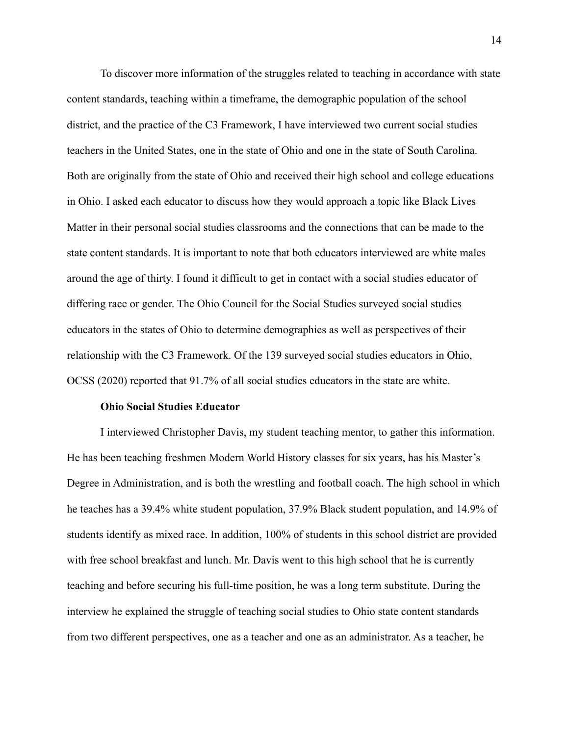To discover more information of the struggles related to teaching in accordance with state content standards, teaching within a timeframe, the demographic population of the school district, and the practice of the C3 Framework, I have interviewed two current social studies teachers in the United States, one in the state of Ohio and one in the state of South Carolina. Both are originally from the state of Ohio and received their high school and college educations in Ohio. I asked each educator to discuss how they would approach a topic like Black Lives Matter in their personal social studies classrooms and the connections that can be made to the state content standards. It is important to note that both educators interviewed are white males around the age of thirty. I found it difficult to get in contact with a social studies educator of differing race or gender. The Ohio Council for the Social Studies surveyed social studies educators in the states of Ohio to determine demographics as well as perspectives of their relationship with the C3 Framework. Of the 139 surveyed social studies educators in Ohio, OCSS (2020) reported that 91.7% of all social studies educators in the state are white.

## **Ohio Social Studies Educator**

I interviewed Christopher Davis, my student teaching mentor, to gather this information. He has been teaching freshmen Modern World History classes for six years, has his Master's Degree in Administration, and is both the wrestling and football coach. The high school in which he teaches has a 39.4% white student population, 37.9% Black student population, and 14.9% of students identify as mixed race. In addition, 100% of students in this school district are provided with free school breakfast and lunch. Mr. Davis went to this high school that he is currently teaching and before securing his full-time position, he was a long term substitute. During the interview he explained the struggle of teaching social studies to Ohio state content standards from two different perspectives, one as a teacher and one as an administrator. As a teacher, he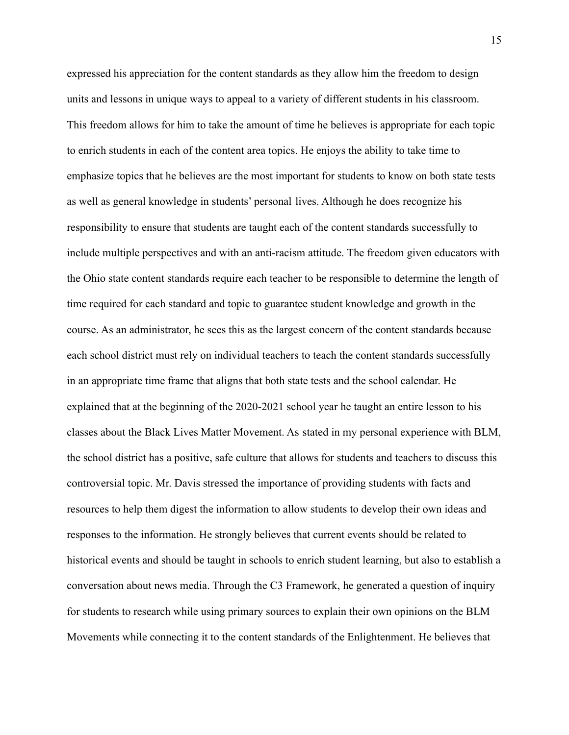expressed his appreciation for the content standards as they allow him the freedom to design units and lessons in unique ways to appeal to a variety of different students in his classroom. This freedom allows for him to take the amount of time he believes is appropriate for each topic to enrich students in each of the content area topics. He enjoys the ability to take time to emphasize topics that he believes are the most important for students to know on both state tests as well as general knowledge in students' personal lives. Although he does recognize his responsibility to ensure that students are taught each of the content standards successfully to include multiple perspectives and with an anti-racism attitude. The freedom given educators with the Ohio state content standards require each teacher to be responsible to determine the length of time required for each standard and topic to guarantee student knowledge and growth in the course. As an administrator, he sees this as the largest concern of the content standards because each school district must rely on individual teachers to teach the content standards successfully in an appropriate time frame that aligns that both state tests and the school calendar. He explained that at the beginning of the 2020-2021 school year he taught an entire lesson to his classes about the Black Lives Matter Movement. As stated in my personal experience with BLM, the school district has a positive, safe culture that allows for students and teachers to discuss this controversial topic. Mr. Davis stressed the importance of providing students with facts and resources to help them digest the information to allow students to develop their own ideas and responses to the information. He strongly believes that current events should be related to historical events and should be taught in schools to enrich student learning, but also to establish a conversation about news media. Through the C3 Framework, he generated a question of inquiry for students to research while using primary sources to explain their own opinions on the BLM Movements while connecting it to the content standards of the Enlightenment. He believes that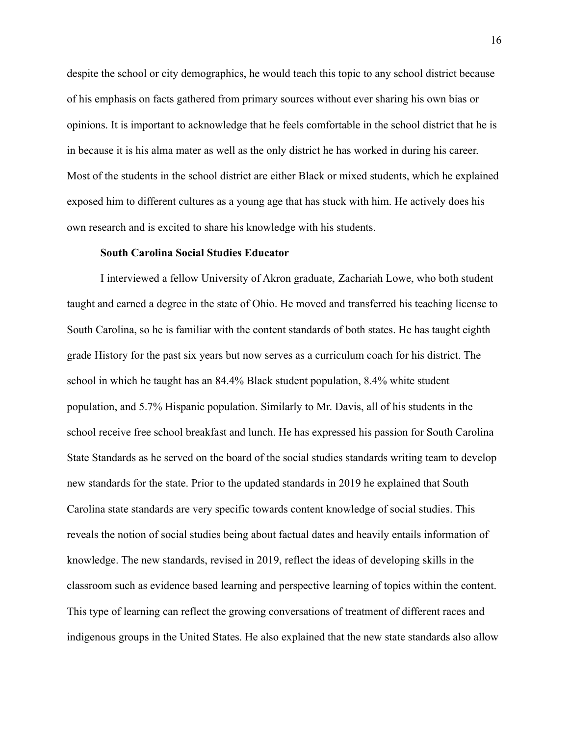despite the school or city demographics, he would teach this topic to any school district because of his emphasis on facts gathered from primary sources without ever sharing his own bias or opinions. It is important to acknowledge that he feels comfortable in the school district that he is in because it is his alma mater as well as the only district he has worked in during his career. Most of the students in the school district are either Black or mixed students, which he explained exposed him to different cultures as a young age that has stuck with him. He actively does his own research and is excited to share his knowledge with his students.

## **South Carolina Social Studies Educator**

I interviewed a fellow University of Akron graduate, Zachariah Lowe, who both student taught and earned a degree in the state of Ohio. He moved and transferred his teaching license to South Carolina, so he is familiar with the content standards of both states. He has taught eighth grade History for the past six years but now serves as a curriculum coach for his district. The school in which he taught has an 84.4% Black student population, 8.4% white student population, and 5.7% Hispanic population. Similarly to Mr. Davis, all of his students in the school receive free school breakfast and lunch. He has expressed his passion for South Carolina State Standards as he served on the board of the social studies standards writing team to develop new standards for the state. Prior to the updated standards in 2019 he explained that South Carolina state standards are very specific towards content knowledge of social studies. This reveals the notion of social studies being about factual dates and heavily entails information of knowledge. The new standards, revised in 2019, reflect the ideas of developing skills in the classroom such as evidence based learning and perspective learning of topics within the content. This type of learning can reflect the growing conversations of treatment of different races and indigenous groups in the United States. He also explained that the new state standards also allow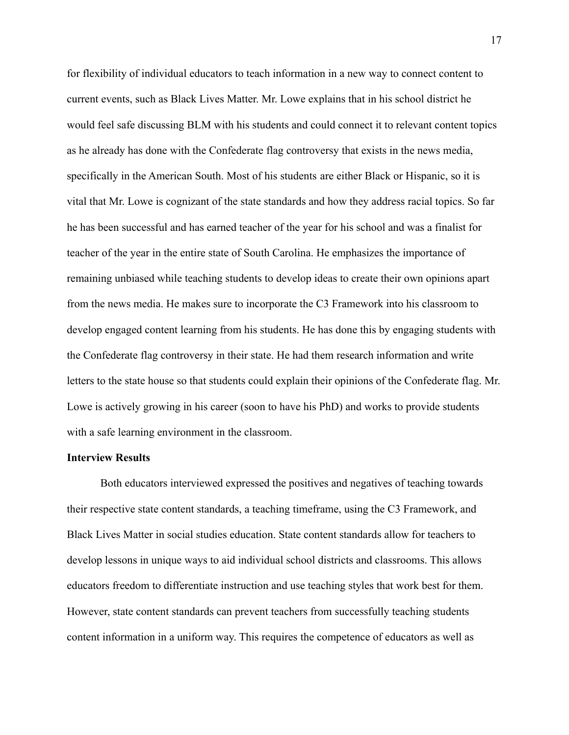for flexibility of individual educators to teach information in a new way to connect content to current events, such as Black Lives Matter. Mr. Lowe explains that in his school district he would feel safe discussing BLM with his students and could connect it to relevant content topics as he already has done with the Confederate flag controversy that exists in the news media, specifically in the American South. Most of his students are either Black or Hispanic, so it is vital that Mr. Lowe is cognizant of the state standards and how they address racial topics. So far he has been successful and has earned teacher of the year for his school and was a finalist for teacher of the year in the entire state of South Carolina. He emphasizes the importance of remaining unbiased while teaching students to develop ideas to create their own opinions apart from the news media. He makes sure to incorporate the C3 Framework into his classroom to develop engaged content learning from his students. He has done this by engaging students with the Confederate flag controversy in their state. He had them research information and write letters to the state house so that students could explain their opinions of the Confederate flag. Mr. Lowe is actively growing in his career (soon to have his PhD) and works to provide students with a safe learning environment in the classroom.

### **Interview Results**

Both educators interviewed expressed the positives and negatives of teaching towards their respective state content standards, a teaching timeframe, using the C3 Framework, and Black Lives Matter in social studies education. State content standards allow for teachers to develop lessons in unique ways to aid individual school districts and classrooms. This allows educators freedom to differentiate instruction and use teaching styles that work best for them. However, state content standards can prevent teachers from successfully teaching students content information in a uniform way. This requires the competence of educators as well as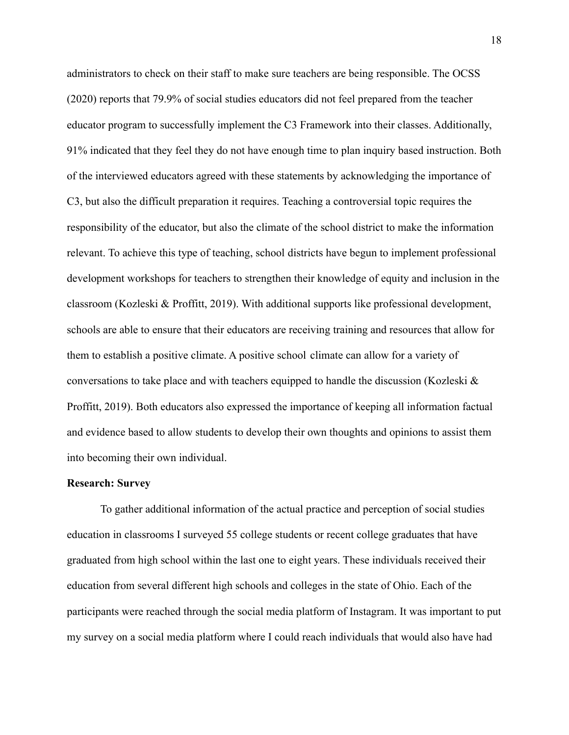administrators to check on their staff to make sure teachers are being responsible. The OCSS (2020) reports that 79.9% of social studies educators did not feel prepared from the teacher educator program to successfully implement the C3 Framework into their classes. Additionally, 91% indicated that they feel they do not have enough time to plan inquiry based instruction. Both of the interviewed educators agreed with these statements by acknowledging the importance of C3, but also the difficult preparation it requires. Teaching a controversial topic requires the responsibility of the educator, but also the climate of the school district to make the information relevant. To achieve this type of teaching, school districts have begun to implement professional development workshops for teachers to strengthen their knowledge of equity and inclusion in the classroom (Kozleski & Proffitt, 2019). With additional supports like professional development, schools are able to ensure that their educators are receiving training and resources that allow for them to establish a positive climate. A positive school climate can allow for a variety of conversations to take place and with teachers equipped to handle the discussion (Kozleski  $\&$ Proffitt, 2019). Both educators also expressed the importance of keeping all information factual and evidence based to allow students to develop their own thoughts and opinions to assist them into becoming their own individual.

## **Research: Survey**

To gather additional information of the actual practice and perception of social studies education in classrooms I surveyed 55 college students or recent college graduates that have graduated from high school within the last one to eight years. These individuals received their education from several different high schools and colleges in the state of Ohio. Each of the participants were reached through the social media platform of Instagram. It was important to put my survey on a social media platform where I could reach individuals that would also have had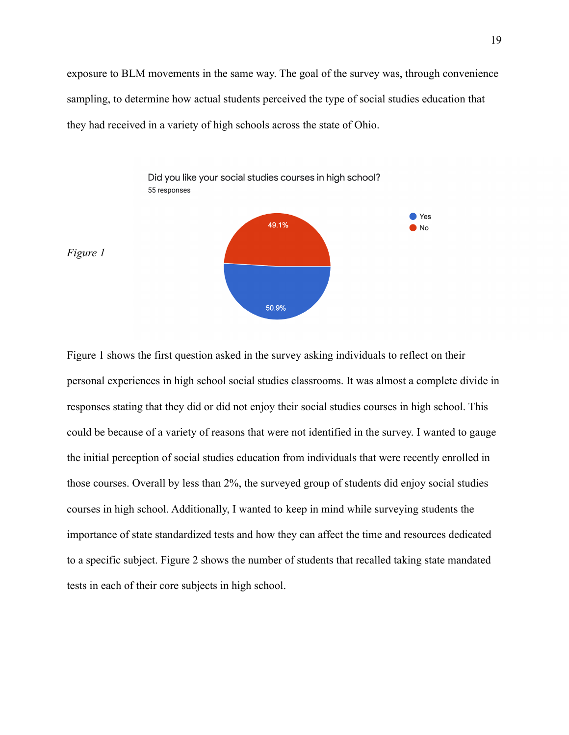exposure to BLM movements in the same way. The goal of the survey was, through convenience sampling, to determine how actual students perceived the type of social studies education that they had received in a variety of high schools across the state of Ohio.



Figure 1 shows the first question asked in the survey asking individuals to reflect on their personal experiences in high school social studies classrooms. It was almost a complete divide in responses stating that they did or did not enjoy their social studies courses in high school. This could be because of a variety of reasons that were not identified in the survey. I wanted to gauge the initial perception of social studies education from individuals that were recently enrolled in those courses. Overall by less than 2%, the surveyed group of students did enjoy social studies courses in high school. Additionally, I wanted to keep in mind while surveying students the importance of state standardized tests and how they can affect the time and resources dedicated to a specific subject. Figure 2 shows the number of students that recalled taking state mandated tests in each of their core subjects in high school.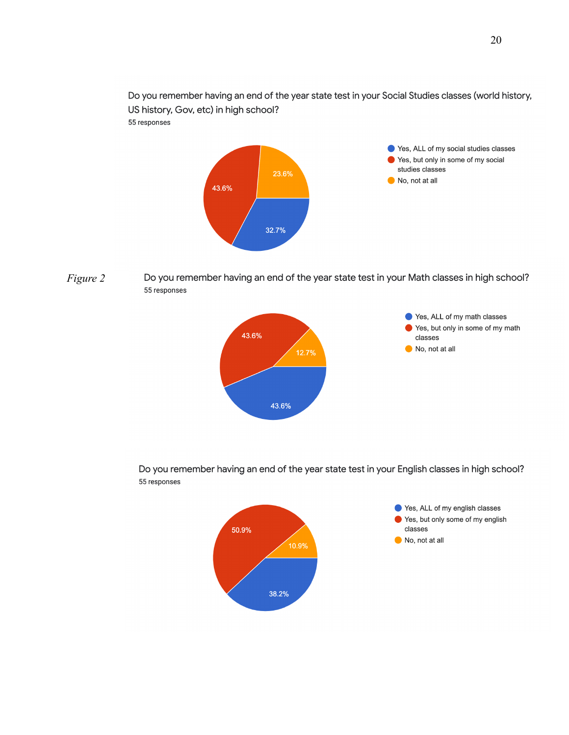Do you remember having an end of the year state test in your Social Studies classes (world history, US history, Gov, etc) in high school? 55 responses



*Figure 2*Do you remember having an end of the year state test in your Math classes in high school? 55 responses



Do you remember having an end of the year state test in your English classes in high school? 55 responses

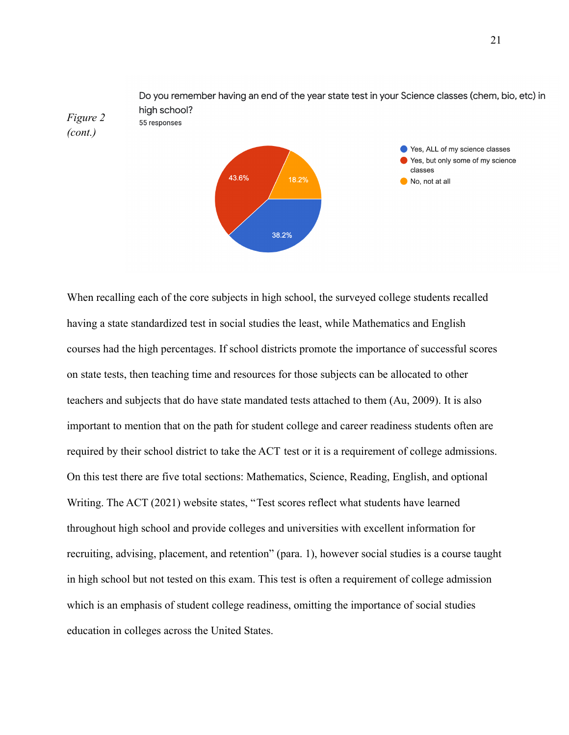

When recalling each of the core subjects in high school, the surveyed college students recalled having a state standardized test in social studies the least, while Mathematics and English courses had the high percentages. If school districts promote the importance of successful scores on state tests, then teaching time and resources for those subjects can be allocated to other teachers and subjects that do have state mandated tests attached to them (Au, 2009). It is also important to mention that on the path for student college and career readiness students often are required by their school district to take the ACT test or it is a requirement of college admissions. On this test there are five total sections: Mathematics, Science, Reading, English, and optional Writing. The ACT (2021) website states, "Test scores reflect what students have learned throughout high school and provide colleges and universities with excellent information for recruiting, advising, placement, and retention" (para. 1), however social studies is a course taught in high school but not tested on this exam. This test is often a requirement of college admission which is an emphasis of student college readiness, omitting the importance of social studies education in colleges across the United States.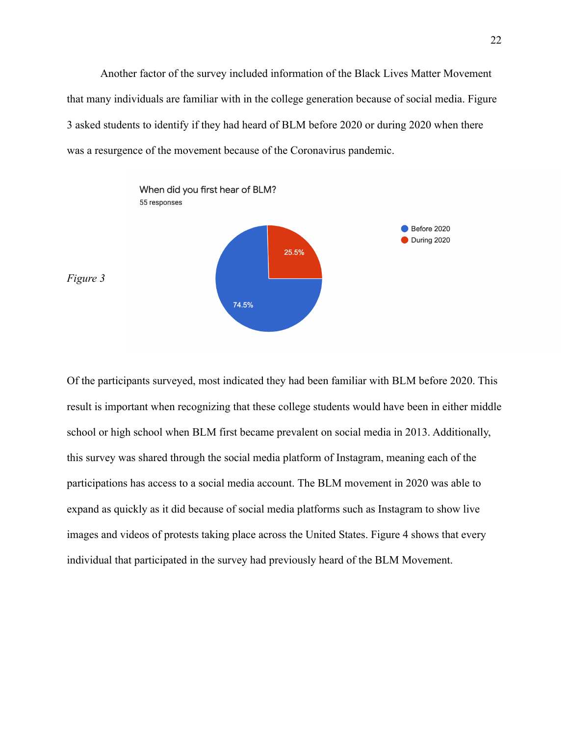Another factor of the survey included information of the Black Lives Matter Movement that many individuals are familiar with in the college generation because of social media. Figure 3 asked students to identify if they had heard of BLM before 2020 or during 2020 when there was a resurgence of the movement because of the Coronavirus pandemic.



Of the participants surveyed, most indicated they had been familiar with BLM before 2020. This result is important when recognizing that these college students would have been in either middle school or high school when BLM first became prevalent on social media in 2013. Additionally, this survey was shared through the social media platform of Instagram, meaning each of the participations has access to a social media account. The BLM movement in 2020 was able to expand as quickly as it did because of social media platforms such as Instagram to show live images and videos of protests taking place across the United States. Figure 4 shows that every individual that participated in the survey had previously heard of the BLM Movement.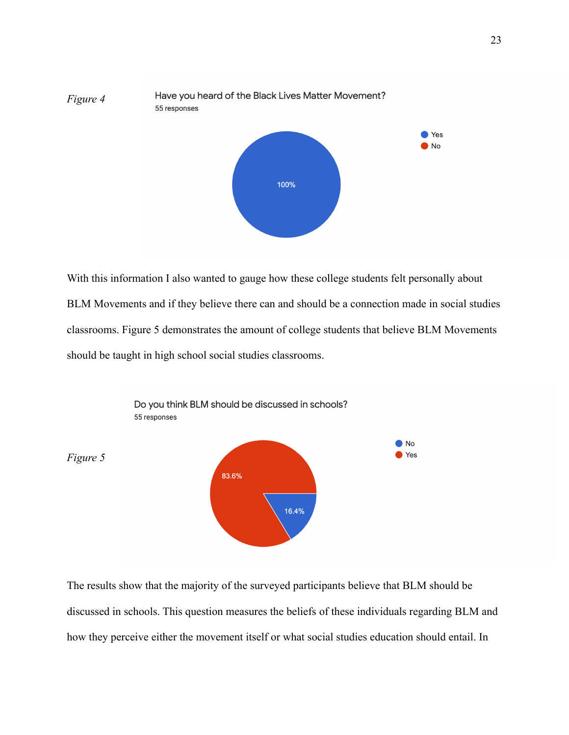

With this information I also wanted to gauge how these college students felt personally about BLM Movements and if they believe there can and should be a connection made in social studies classrooms. Figure 5 demonstrates the amount of college students that believe BLM Movements should be taught in high school social studies classrooms.



The results show that the majority of the surveyed participants believe that BLM should be discussed in schools. This question measures the beliefs of these individuals regarding BLM and how they perceive either the movement itself or what social studies education should entail. In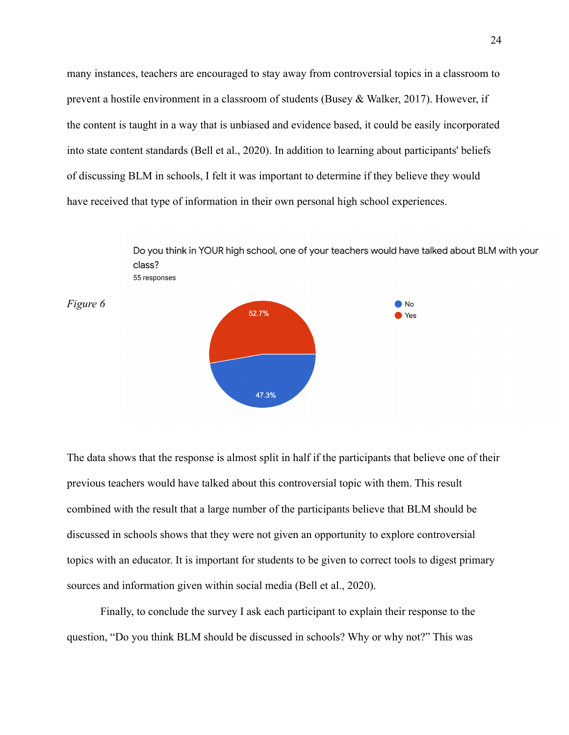many instances, teachers are encouraged to stay away from controversial topics in a classroom to prevent a hostile environment in a classroom of students (Busey & Walker, 2017). However, if the content is taught in a way that is unbiased and evidence based, it could be easily incorporated into state content standards (Bell et al., 2020). In addition to learning about participants' beliefs of discussing BLM in schools, I felt it was important to determine if they believe they would have received that type of information in their own personal high school experiences.



The data shows that the response is almost split in half if the participants that believe one of their previous teachers would have talked about this controversial topic with them. This result combined with the result that a large number of the participants believe that BLM should be discussed in schools shows that they were not given an opportunity to explore controversial topics with an educator. It is important for students to be given to correct tools to digest primary sources and information given within social media (Bell et al., 2020).

Finally, to conclude the survey I ask each participant to explain their response to the question, "Do you think BLM should be discussed in schools? Why or why not?" This was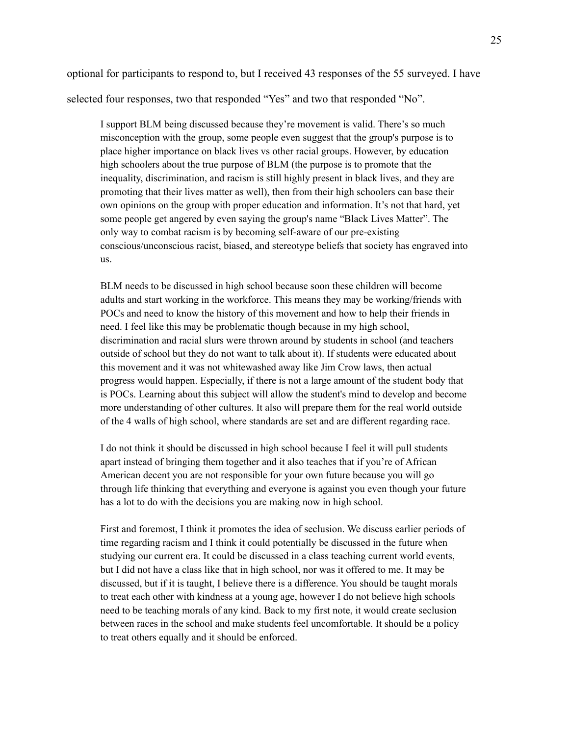optional for participants to respond to, but I received 43 responses of the 55 surveyed. I have selected four responses, two that responded "Yes" and two that responded "No".

I support BLM being discussed because they're movement is valid. There's so much misconception with the group, some people even suggest that the group's purpose is to place higher importance on black lives vs other racial groups. However, by education high schoolers about the true purpose of BLM (the purpose is to promote that the inequality, discrimination, and racism is still highly present in black lives, and they are promoting that their lives matter as well), then from their high schoolers can base their own opinions on the group with proper education and information. It's not that hard, yet some people get angered by even saying the group's name "Black Lives Matter". The only way to combat racism is by becoming self-aware of our pre-existing conscious/unconscious racist, biased, and stereotype beliefs that society has engraved into us.

BLM needs to be discussed in high school because soon these children will become adults and start working in the workforce. This means they may be working/friends with POCs and need to know the history of this movement and how to help their friends in need. I feel like this may be problematic though because in my high school, discrimination and racial slurs were thrown around by students in school (and teachers outside of school but they do not want to talk about it). If students were educated about this movement and it was not whitewashed away like Jim Crow laws, then actual progress would happen. Especially, if there is not a large amount of the student body that is POCs. Learning about this subject will allow the student's mind to develop and become more understanding of other cultures. It also will prepare them for the real world outside of the 4 walls of high school, where standards are set and are different regarding race.

I do not think it should be discussed in high school because I feel it will pull students apart instead of bringing them together and it also teaches that if you're of African American decent you are not responsible for your own future because you will go through life thinking that everything and everyone is against you even though your future has a lot to do with the decisions you are making now in high school.

First and foremost, I think it promotes the idea of seclusion. We discuss earlier periods of time regarding racism and I think it could potentially be discussed in the future when studying our current era. It could be discussed in a class teaching current world events, but I did not have a class like that in high school, nor was it offered to me. It may be discussed, but if it is taught, I believe there is a difference. You should be taught morals to treat each other with kindness at a young age, however I do not believe high schools need to be teaching morals of any kind. Back to my first note, it would create seclusion between races in the school and make students feel uncomfortable. It should be a policy to treat others equally and it should be enforced.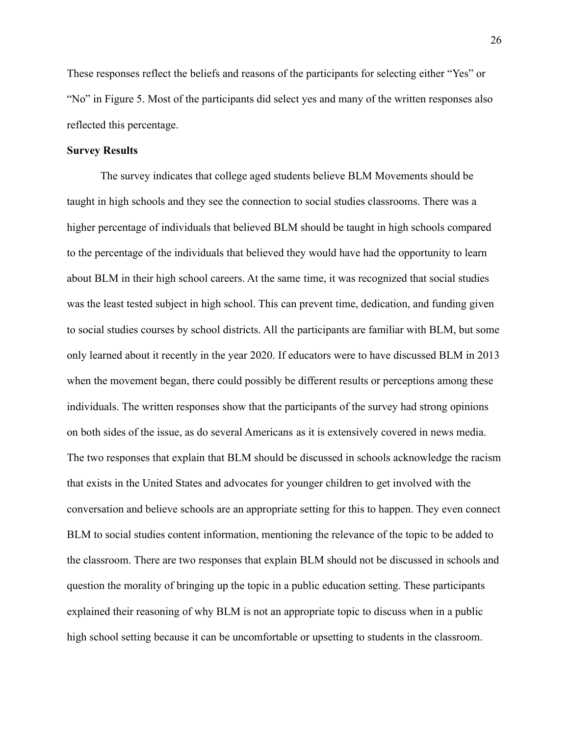These responses reflect the beliefs and reasons of the participants for selecting either "Yes" or "No" in Figure 5. Most of the participants did select yes and many of the written responses also reflected this percentage.

## **Survey Results**

The survey indicates that college aged students believe BLM Movements should be taught in high schools and they see the connection to social studies classrooms. There was a higher percentage of individuals that believed BLM should be taught in high schools compared to the percentage of the individuals that believed they would have had the opportunity to learn about BLM in their high school careers. At the same time, it was recognized that social studies was the least tested subject in high school. This can prevent time, dedication, and funding given to social studies courses by school districts. All the participants are familiar with BLM, but some only learned about it recently in the year 2020. If educators were to have discussed BLM in 2013 when the movement began, there could possibly be different results or perceptions among these individuals. The written responses show that the participants of the survey had strong opinions on both sides of the issue, as do several Americans as it is extensively covered in news media. The two responses that explain that BLM should be discussed in schools acknowledge the racism that exists in the United States and advocates for younger children to get involved with the conversation and believe schools are an appropriate setting for this to happen. They even connect BLM to social studies content information, mentioning the relevance of the topic to be added to the classroom. There are two responses that explain BLM should not be discussed in schools and question the morality of bringing up the topic in a public education setting. These participants explained their reasoning of why BLM is not an appropriate topic to discuss when in a public high school setting because it can be uncomfortable or upsetting to students in the classroom.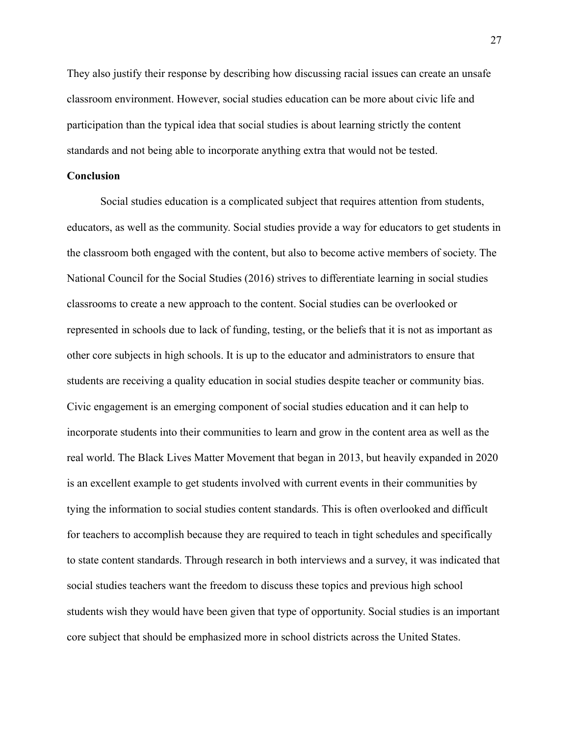They also justify their response by describing how discussing racial issues can create an unsafe classroom environment. However, social studies education can be more about civic life and participation than the typical idea that social studies is about learning strictly the content standards and not being able to incorporate anything extra that would not be tested.

## **Conclusion**

Social studies education is a complicated subject that requires attention from students, educators, as well as the community. Social studies provide a way for educators to get students in the classroom both engaged with the content, but also to become active members of society. The National Council for the Social Studies (2016) strives to differentiate learning in social studies classrooms to create a new approach to the content. Social studies can be overlooked or represented in schools due to lack of funding, testing, or the beliefs that it is not as important as other core subjects in high schools. It is up to the educator and administrators to ensure that students are receiving a quality education in social studies despite teacher or community bias. Civic engagement is an emerging component of social studies education and it can help to incorporate students into their communities to learn and grow in the content area as well as the real world. The Black Lives Matter Movement that began in 2013, but heavily expanded in 2020 is an excellent example to get students involved with current events in their communities by tying the information to social studies content standards. This is often overlooked and difficult for teachers to accomplish because they are required to teach in tight schedules and specifically to state content standards. Through research in both interviews and a survey, it was indicated that social studies teachers want the freedom to discuss these topics and previous high school students wish they would have been given that type of opportunity. Social studies is an important core subject that should be emphasized more in school districts across the United States.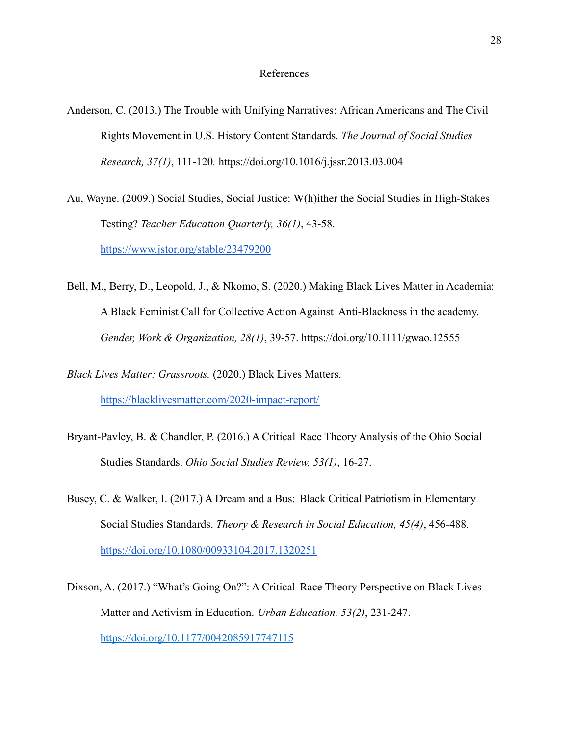## References

- Anderson, C. (2013.) The Trouble with Unifying Narratives: African Americans and The Civil Rights Movement in U.S. History Content Standards. *The Journal of Social Studies Research, 37(1)*, 111-120*.* <https://doi.org/10.1016/j.jssr.2013.03.004>
- Au, Wayne. (2009.) Social Studies, Social Justice: W(h)ither the Social Studies in High-Stakes Testing? *Teacher Education Quarterly, 36(1)*, 43-58. <https://www.jstor.org/stable/23479200>
- Bell, M., Berry, D., Leopold, J., & Nkomo, S. (2020.) Making Black Lives Matter in Academia: A Black Feminist Call for Collective Action Against Anti-Blackness in the academy. *Gender, Work & Organization, 28(1)*, 39-57. <https://doi.org/10.1111/gwao.12555>
- *Black Lives Matter: Grassroots.* (2020.) Black Lives Matters. <https://blacklivesmatter.com/2020-impact-report/>
- Bryant-Pavley, B. & Chandler, P. (2016.) A Critical Race Theory Analysis of the Ohio Social Studies Standards. *Ohio Social Studies Review, 53(1)*, 16-27.
- Busey, C. & Walker, I. (2017.) A Dream and a Bus: Black Critical Patriotism in Elementary Social Studies Standards. *Theory & Research in Social Education, 45(4)*, 456-488. <https://doi.org/10.1080/00933104.2017.1320251>
- Dixson, A. (2017.) "What's Going On?": A Critical Race Theory Perspective on Black Lives Matter and Activism in Education. *Urban Education, 53(2)*, 231-247. [https://doi.org/10.1177/0042085917747115](https://doi.org/10.1177%2F0042085917747115)